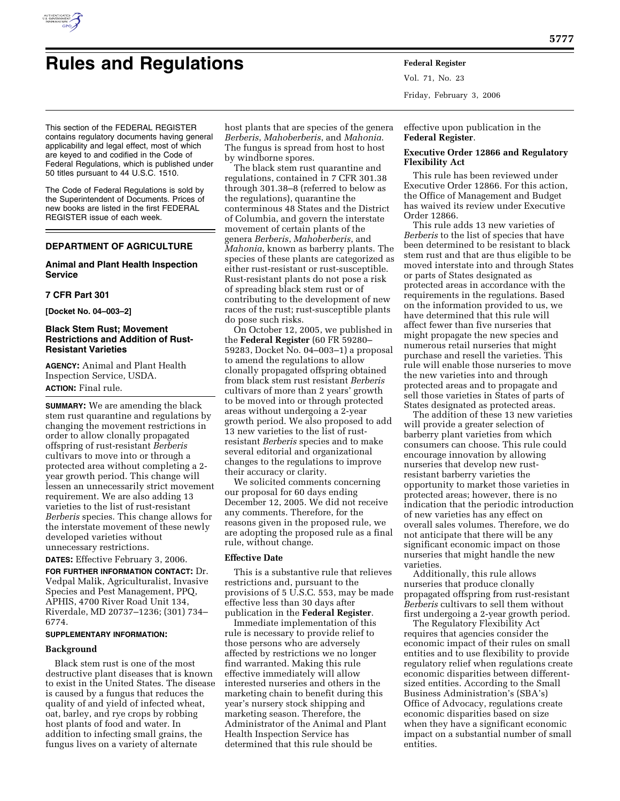

# **Rules and Regulations Federal Register**

Vol. 71, No. 23 Friday, February 3, 2006

This section of the FEDERAL REGISTER contains regulatory documents having general applicability and legal effect, most of which are keyed to and codified in the Code of Federal Regulations, which is published under 50 titles pursuant to 44 U.S.C. 1510.

The Code of Federal Regulations is sold by the Superintendent of Documents. Prices of new books are listed in the first FEDERAL REGISTER issue of each week.

# **DEPARTMENT OF AGRICULTURE**

# **Animal and Plant Health Inspection Service**

## **7 CFR Part 301**

**[Docket No. 04–003–2]** 

## **Black Stem Rust; Movement Restrictions and Addition of Rust-Resistant Varieties**

**AGENCY:** Animal and Plant Health Inspection Service, USDA. **ACTION:** Final rule.

**SUMMARY:** We are amending the black stem rust quarantine and regulations by changing the movement restrictions in order to allow clonally propagated offspring of rust-resistant *Berberis*  cultivars to move into or through a protected area without completing a 2 year growth period. This change will lessen an unnecessarily strict movement requirement. We are also adding 13 varieties to the list of rust-resistant *Berberis* species. This change allows for the interstate movement of these newly developed varieties without unnecessary restrictions.

**DATES:** Effective February 3, 2006.

**FOR FURTHER INFORMATION CONTACT:** Dr. Vedpal Malik, Agriculturalist, Invasive Species and Pest Management, PPQ, APHIS, 4700 River Road Unit 134, Riverdale, MD 20737–1236; (301) 734– 6774.

## **SUPPLEMENTARY INFORMATION:**

## **Background**

Black stem rust is one of the most destructive plant diseases that is known to exist in the United States. The disease is caused by a fungus that reduces the quality of and yield of infected wheat, oat, barley, and rye crops by robbing host plants of food and water. In addition to infecting small grains, the fungus lives on a variety of alternate

host plants that are species of the genera *Berberis*, *Mahoberberis*, and *Mahonia*. The fungus is spread from host to host by windborne spores.

The black stem rust quarantine and regulations, contained in 7 CFR 301.38 through 301.38–8 (referred to below as the regulations), quarantine the conterminous 48 States and the District of Columbia, and govern the interstate movement of certain plants of the genera *Berberis*, *Mahoberberis*, and *Mahonia*, known as barberry plants. The species of these plants are categorized as either rust-resistant or rust-susceptible. Rust-resistant plants do not pose a risk of spreading black stem rust or of contributing to the development of new races of the rust; rust-susceptible plants do pose such risks.

On October 12, 2005, we published in the **Federal Register** (60 FR 59280– 59283, Docket No. 04–003–1) a proposal to amend the regulations to allow clonally propagated offspring obtained from black stem rust resistant *Berberis*  cultivars of more than 2 years' growth to be moved into or through protected areas without undergoing a 2-year growth period. We also proposed to add 13 new varieties to the list of rustresistant *Berberis* species and to make several editorial and organizational changes to the regulations to improve their accuracy or clarity.

We solicited comments concerning our proposal for 60 days ending December 12, 2005. We did not receive any comments. Therefore, for the reasons given in the proposed rule, we are adopting the proposed rule as a final rule, without change.

#### **Effective Date**

This is a substantive rule that relieves restrictions and, pursuant to the provisions of 5 U.S.C. 553, may be made effective less than 30 days after publication in the **Federal Register**.

Immediate implementation of this rule is necessary to provide relief to those persons who are adversely affected by restrictions we no longer find warranted. Making this rule effective immediately will allow interested nurseries and others in the marketing chain to benefit during this year's nursery stock shipping and marketing season. Therefore, the Administrator of the Animal and Plant Health Inspection Service has determined that this rule should be

effective upon publication in the **Federal Register**.

## **Executive Order 12866 and Regulatory Flexibility Act**

This rule has been reviewed under Executive Order 12866. For this action, the Office of Management and Budget has waived its review under Executive Order 12866.

This rule adds 13 new varieties of *Berberis* to the list of species that have been determined to be resistant to black stem rust and that are thus eligible to be moved interstate into and through States or parts of States designated as protected areas in accordance with the requirements in the regulations. Based on the information provided to us, we have determined that this rule will affect fewer than five nurseries that might propagate the new species and numerous retail nurseries that might purchase and resell the varieties. This rule will enable those nurseries to move the new varieties into and through protected areas and to propagate and sell those varieties in States of parts of States designated as protected areas.

The addition of these 13 new varieties will provide a greater selection of barberry plant varieties from which consumers can choose. This rule could encourage innovation by allowing nurseries that develop new rustresistant barberry varieties the opportunity to market those varieties in protected areas; however, there is no indication that the periodic introduction of new varieties has any effect on overall sales volumes. Therefore, we do not anticipate that there will be any significant economic impact on those nurseries that might handle the new varieties.

Additionally, this rule allows nurseries that produce clonally propagated offspring from rust-resistant *Berberis* cultivars to sell them without first undergoing a 2-year growth period.

The Regulatory Flexibility Act requires that agencies consider the economic impact of their rules on small entities and to use flexibility to provide regulatory relief when regulations create economic disparities between differentsized entities. According to the Small Business Administration's (SBA's) Office of Advocacy, regulations create economic disparities based on size when they have a significant economic impact on a substantial number of small entities.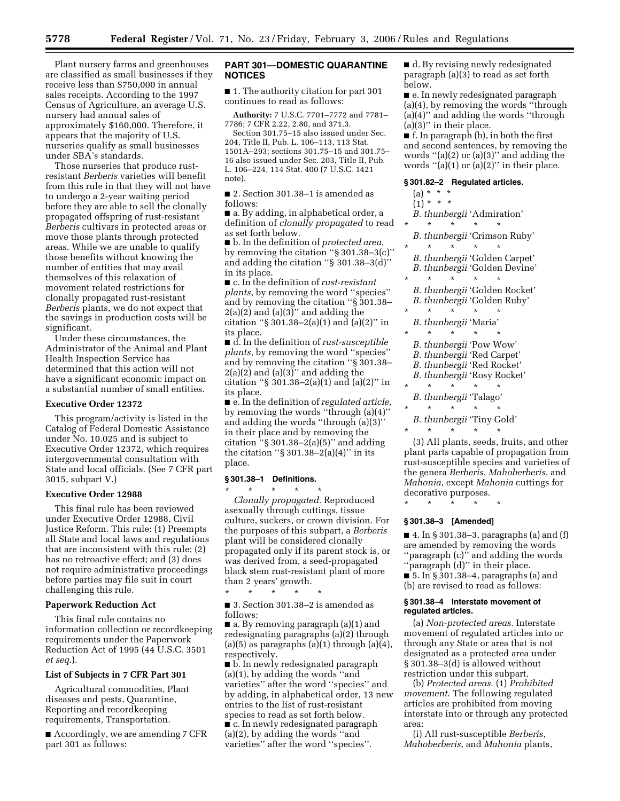Plant nursery farms and greenhouses are classified as small businesses if they receive less than \$750,000 in annual sales receipts. According to the 1997 Census of Agriculture, an average U.S. nursery had annual sales of approximately \$160,000. Therefore, it appears that the majority of U.S. nurseries qualify as small businesses under SBA's standards.

Those nurseries that produce rustresistant *Berberis* varieties will benefit from this rule in that they will not have to undergo a 2-year waiting period before they are able to sell the clonally propagated offspring of rust-resistant *Berberis* cultivars in protected areas or move those plants through protected areas. While we are unable to qualify those benefits without knowing the number of entities that may avail themselves of this relaxation of movement related restrictions for clonally propagated rust-resistant *Berberis* plants, we do not expect that the savings in production costs will be significant.

Under these circumstances, the Administrator of the Animal and Plant Health Inspection Service has determined that this action will not have a significant economic impact on a substantial number of small entities.

## **Executive Order 12372**

This program/activity is listed in the Catalog of Federal Domestic Assistance under No. 10.025 and is subject to Executive Order 12372, which requires intergovernmental consultation with State and local officials. (See 7 CFR part 3015, subpart V.)

## **Executive Order 12988**

This final rule has been reviewed under Executive Order 12988, Civil Justice Reform. This rule: (1) Preempts all State and local laws and regulations that are inconsistent with this rule; (2) has no retroactive effect; and (3) does not require administrative proceedings before parties may file suit in court challenging this rule.

## **Paperwork Reduction Act**

This final rule contains no information collection or recordkeeping requirements under the Paperwork Reduction Act of 1995 (44 U.S.C. 3501 *et seq.*).

#### **List of Subjects in 7 CFR Part 301**

Agricultural commodities, Plant diseases and pests, Quarantine, Reporting and recordkeeping requirements, Transportation.

■ Accordingly, we are amending 7 CFR part 301 as follows:

# **PART 301—DOMESTIC QUARANTINE NOTICES**

■ 1. The authority citation for part 301 continues to read as follows:

**Authority:** 7 U.S.C. 7701–7772 and 7781– 7786; 7 CFR 2.22, 2.80, and 371.3.

Section 301.75–15 also issued under Sec. 204, Title II, Pub. L. 106–113, 113 Stat. 1501A–293; sections 301.75–15 and 301.75– 16 also issued under Sec. 203, Title II, Pub. L. 106–224, 114 Stat. 400 (7 U.S.C. 1421 note).

■ 2. Section 301.38–1 is amended as follows:

■ a. By adding, in alphabetical order, a definition of *clonally propagated* to read as set forth below.

■ b. In the definition of *protected area*, by removing the citation ''§ 301.38–3(c)'' and adding the citation ''§ 301.38–3(d)'' in its place.

■ c. In the definition of *rust-resistant plants*, by removing the word ''species'' and by removing the citation ''§ 301.38–  $2(a)(2)$  and  $(a)(3)$ " and adding the citation " $\S 301.38 - 2(a)(1)$  and  $(a)(2)$ " in its place.

■ d. In the definition of *rust-susceptible plants*, by removing the word ''species'' and by removing the citation ''§ 301.38–  $2(a)(2)$  and  $(a)(3)$ " and adding the citation ''§ 301.38–2(a)(1) and (a)(2)'' in its place.

■ e. In the definition of *regulated article*, by removing the words ''through (a)(4)'' and adding the words ''through (a)(3)'' in their place and by removing the citation " $\S 301.38-2(a)(5)$ " and adding the citation " $\S 301.38-2(a)(4)$ " in its place.

## **§ 301.38–1 Definitions.**

\* \* \* \* \* *Clonally propagated*. Reproduced asexually through cuttings, tissue culture, suckers, or crown division. For the purposes of this subpart, a *Berberis*  plant will be considered clonally propagated only if its parent stock is, or was derived from, a seed-propagated black stem rust-resistant plant of more than 2 years' growth.

\* \* \* \* \*

■ 3. Section 301.38–2 is amended as follows:

■ a. By removing paragraph (a)(1) and redesignating paragraphs (a)(2) through  $(a)(5)$  as paragraphs  $(a)(1)$  through  $(a)(4)$ , respectively.

■ b. In newly redesignated paragraph (a)(1), by adding the words ''and varieties'' after the word ''species'' and by adding, in alphabetical order, 13 new entries to the list of rust-resistant species to read as set forth below. ■ c. In newly redesignated paragraph (a)(2), by adding the words ''and varieties'' after the word ''species''.

■ d. By revising newly redesignated paragraph (a)(3) to read as set forth below.

■ e. In newly redesignated paragraph (a)(4), by removing the words ''through (a)(4)'' and adding the words ''through  $(a)(3)$ " in their place.

■ f. In paragraph (b), in both the first and second sentences, by removing the words ''(a)(2) or (a)(3)'' and adding the words  $"$ (a)(1) or (a)(2)" in their place.

# **§ 301.82–2 Regulated articles.**

|          |         | (a) * * *     |         |                        |                               |
|----------|---------|---------------|---------|------------------------|-------------------------------|
|          |         | $(1) * * * *$ |         |                        |                               |
|          |         |               |         |                        | B. thunbergii 'Admiration'    |
| $\star$  | $\star$ |               | ÷       | $\star$                |                               |
|          |         |               |         |                        | B. thunbergii 'Crimson Ruby'  |
| $\star$  | $\star$ |               | ÷       | $\star$                | $\star$                       |
|          |         |               |         |                        | B. thunbergii 'Golden Carpet' |
|          |         |               |         |                        | B. thunbergii 'Golden Devine' |
| $\star$  | $\star$ |               | ÷       | ÷                      |                               |
|          |         |               |         |                        | B. thunbergii 'Golden Rocket' |
|          |         |               |         |                        | B. thunbergii 'Golden Ruby'   |
| $\ast$   |         |               |         |                        |                               |
|          |         |               |         | B. thunbergii 'Maria'  |                               |
| $\star$  | $\star$ |               | $\star$ | ÷                      | $\star$                       |
|          |         |               |         |                        | B. thunbergii 'Pow Wow'       |
|          |         |               |         |                        | B. thunbergii 'Red Carpet'    |
|          |         |               |         |                        | B. thunbergii 'Red Rocket'    |
|          |         |               |         |                        | B. thunbergii 'Rosy Rocket'   |
| $\ast$   | ÷       |               | ÷       | ÷                      |                               |
|          |         |               |         | B. thunbergii 'Talago' |                               |
| $\star$  | $\star$ |               | $\star$ | $\star$                | $\star$                       |
|          |         |               |         |                        | B. thunbergii 'Tiny Gold'     |
| $^\star$ |         |               | $\star$ | $\star$                |                               |
|          |         |               |         |                        |                               |

(3) All plants, seeds, fruits, and other plant parts capable of propagation from rust-susceptible species and varieties of the genera *Berberis*, *Mahoberberis*, and *Mahonia*, except *Mahonia* cuttings for decorative purposes.

\* \* \* \* \*

# **§ 301.38–3 [Amended]**

■ 4. In § 301.38–3, paragraphs (a) and (f) are amended by removing the words ''paragraph (c)'' and adding the words ''paragraph (d)'' in their place. ■ 5. In § 301.38–4, paragraphs (a) and

(b) are revised to read as follows:

#### **§ 301.38–4 Interstate movement of regulated articles.**

(a) *Non-protected areas*. Interstate movement of regulated articles into or through any State or area that is not designated as a protected area under § 301.38–3(d) is allowed without restriction under this subpart.

(b) *Protected areas*. (1) *Prohibited movement*. The following regulated articles are prohibited from moving interstate into or through any protected area:

(i) All rust-susceptible *Berberis*, *Mahoberberis*, and *Mahonia* plants,